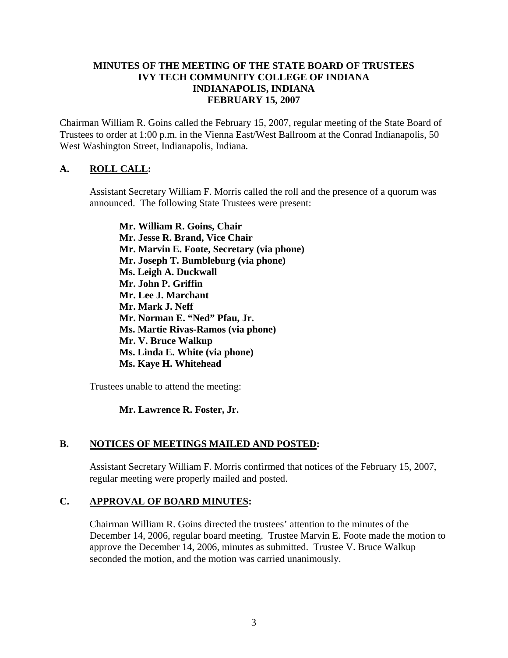### **MINUTES OF THE MEETING OF THE STATE BOARD OF TRUSTEES IVY TECH COMMUNITY COLLEGE OF INDIANA INDIANAPOLIS, INDIANA FEBRUARY 15, 2007**

Chairman William R. Goins called the February 15, 2007, regular meeting of the State Board of Trustees to order at 1:00 p.m. in the Vienna East/West Ballroom at the Conrad Indianapolis, 50 West Washington Street, Indianapolis, Indiana.

# **A. ROLL CALL:**

Assistant Secretary William F. Morris called the roll and the presence of a quorum was announced. The following State Trustees were present:

**Mr. William R. Goins, Chair Mr. Jesse R. Brand, Vice Chair Mr. Marvin E. Foote, Secretary (via phone) Mr. Joseph T. Bumbleburg (via phone) Ms. Leigh A. Duckwall Mr. John P. Griffin Mr. Lee J. Marchant Mr. Mark J. Neff Mr. Norman E. "Ned" Pfau, Jr. Ms. Martie Rivas-Ramos (via phone) Mr. V. Bruce Walkup Ms. Linda E. White (via phone) Ms. Kaye H. Whitehead** 

Trustees unable to attend the meeting:

# **Mr. Lawrence R. Foster, Jr.**

# **B. NOTICES OF MEETINGS MAILED AND POSTED:**

Assistant Secretary William F. Morris confirmed that notices of the February 15, 2007, regular meeting were properly mailed and posted.

# **C. APPROVAL OF BOARD MINUTES:**

Chairman William R. Goins directed the trustees' attention to the minutes of the December 14, 2006, regular board meeting. Trustee Marvin E. Foote made the motion to approve the December 14, 2006, minutes as submitted. Trustee V. Bruce Walkup seconded the motion, and the motion was carried unanimously.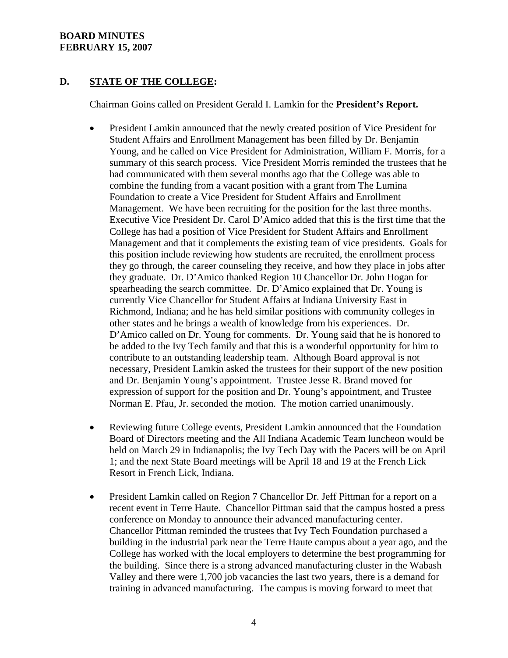# **D. STATE OF THE COLLEGE:**

Chairman Goins called on President Gerald I. Lamkin for the **President's Report.**

- President Lamkin announced that the newly created position of Vice President for Student Affairs and Enrollment Management has been filled by Dr. Benjamin Young, and he called on Vice President for Administration, William F. Morris, for a summary of this search process. Vice President Morris reminded the trustees that he had communicated with them several months ago that the College was able to combine the funding from a vacant position with a grant from The Lumina Foundation to create a Vice President for Student Affairs and Enrollment Management. We have been recruiting for the position for the last three months. Executive Vice President Dr. Carol D'Amico added that this is the first time that the College has had a position of Vice President for Student Affairs and Enrollment Management and that it complements the existing team of vice presidents. Goals for this position include reviewing how students are recruited, the enrollment process they go through, the career counseling they receive, and how they place in jobs after they graduate. Dr. D'Amico thanked Region 10 Chancellor Dr. John Hogan for spearheading the search committee. Dr. D'Amico explained that Dr. Young is currently Vice Chancellor for Student Affairs at Indiana University East in Richmond, Indiana; and he has held similar positions with community colleges in other states and he brings a wealth of knowledge from his experiences. Dr. D'Amico called on Dr. Young for comments. Dr. Young said that he is honored to be added to the Ivy Tech family and that this is a wonderful opportunity for him to contribute to an outstanding leadership team. Although Board approval is not necessary, President Lamkin asked the trustees for their support of the new position and Dr. Benjamin Young's appointment. Trustee Jesse R. Brand moved for expression of support for the position and Dr. Young's appointment, and Trustee Norman E. Pfau, Jr. seconded the motion. The motion carried unanimously.
- Reviewing future College events, President Lamkin announced that the Foundation Board of Directors meeting and the All Indiana Academic Team luncheon would be held on March 29 in Indianapolis; the Ivy Tech Day with the Pacers will be on April 1; and the next State Board meetings will be April 18 and 19 at the French Lick Resort in French Lick, Indiana.
- President Lamkin called on Region 7 Chancellor Dr. Jeff Pittman for a report on a recent event in Terre Haute. Chancellor Pittman said that the campus hosted a press conference on Monday to announce their advanced manufacturing center. Chancellor Pittman reminded the trustees that Ivy Tech Foundation purchased a building in the industrial park near the Terre Haute campus about a year ago, and the College has worked with the local employers to determine the best programming for the building. Since there is a strong advanced manufacturing cluster in the Wabash Valley and there were 1,700 job vacancies the last two years, there is a demand for training in advanced manufacturing. The campus is moving forward to meet that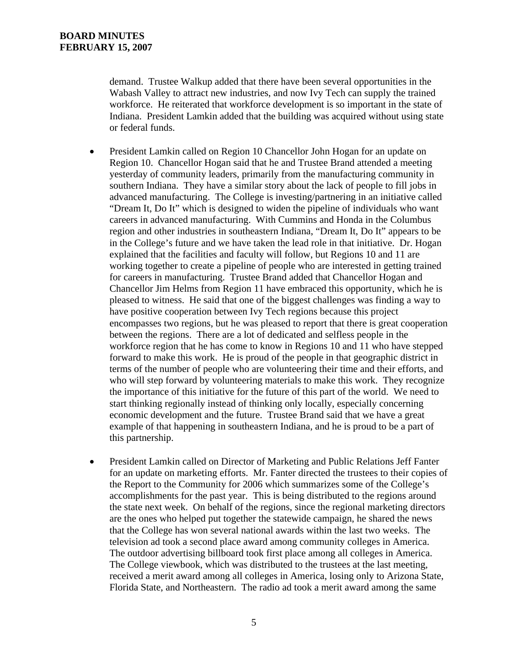demand. Trustee Walkup added that there have been several opportunities in the Wabash Valley to attract new industries, and now Ivy Tech can supply the trained workforce. He reiterated that workforce development is so important in the state of Indiana. President Lamkin added that the building was acquired without using state or federal funds.

- President Lamkin called on Region 10 Chancellor John Hogan for an update on Region 10. Chancellor Hogan said that he and Trustee Brand attended a meeting yesterday of community leaders, primarily from the manufacturing community in southern Indiana. They have a similar story about the lack of people to fill jobs in advanced manufacturing. The College is investing/partnering in an initiative called "Dream It, Do It" which is designed to widen the pipeline of individuals who want careers in advanced manufacturing. With Cummins and Honda in the Columbus region and other industries in southeastern Indiana, "Dream It, Do It" appears to be in the College's future and we have taken the lead role in that initiative. Dr. Hogan explained that the facilities and faculty will follow, but Regions 10 and 11 are working together to create a pipeline of people who are interested in getting trained for careers in manufacturing. Trustee Brand added that Chancellor Hogan and Chancellor Jim Helms from Region 11 have embraced this opportunity, which he is pleased to witness. He said that one of the biggest challenges was finding a way to have positive cooperation between Ivy Tech regions because this project encompasses two regions, but he was pleased to report that there is great cooperation between the regions. There are a lot of dedicated and selfless people in the workforce region that he has come to know in Regions 10 and 11 who have stepped forward to make this work. He is proud of the people in that geographic district in terms of the number of people who are volunteering their time and their efforts, and who will step forward by volunteering materials to make this work. They recognize the importance of this initiative for the future of this part of the world. We need to start thinking regionally instead of thinking only locally, especially concerning economic development and the future. Trustee Brand said that we have a great example of that happening in southeastern Indiana, and he is proud to be a part of this partnership.
- President Lamkin called on Director of Marketing and Public Relations Jeff Fanter for an update on marketing efforts. Mr. Fanter directed the trustees to their copies of the Report to the Community for 2006 which summarizes some of the College's accomplishments for the past year. This is being distributed to the regions around the state next week. On behalf of the regions, since the regional marketing directors are the ones who helped put together the statewide campaign, he shared the news that the College has won several national awards within the last two weeks. The television ad took a second place award among community colleges in America. The outdoor advertising billboard took first place among all colleges in America. The College viewbook, which was distributed to the trustees at the last meeting, received a merit award among all colleges in America, losing only to Arizona State, Florida State, and Northeastern. The radio ad took a merit award among the same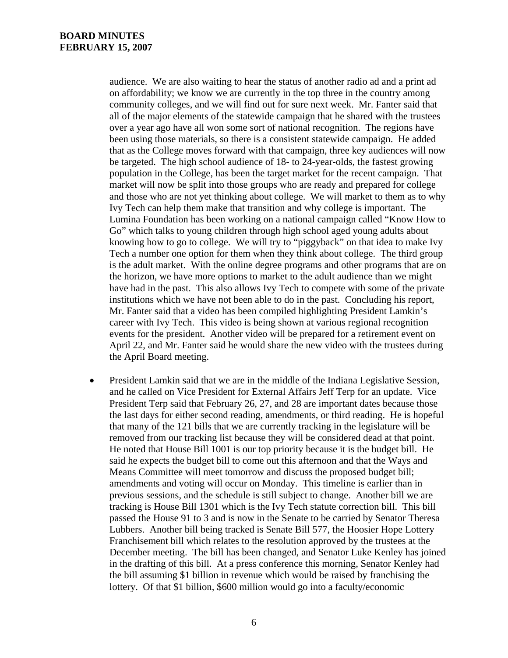audience. We are also waiting to hear the status of another radio ad and a print ad on affordability; we know we are currently in the top three in the country among community colleges, and we will find out for sure next week. Mr. Fanter said that all of the major elements of the statewide campaign that he shared with the trustees over a year ago have all won some sort of national recognition. The regions have been using those materials, so there is a consistent statewide campaign. He added that as the College moves forward with that campaign, three key audiences will now be targeted. The high school audience of 18- to 24-year-olds, the fastest growing population in the College, has been the target market for the recent campaign. That market will now be split into those groups who are ready and prepared for college and those who are not yet thinking about college. We will market to them as to why Ivy Tech can help them make that transition and why college is important. The Lumina Foundation has been working on a national campaign called "Know How to Go" which talks to young children through high school aged young adults about knowing how to go to college. We will try to "piggyback" on that idea to make Ivy Tech a number one option for them when they think about college. The third group is the adult market. With the online degree programs and other programs that are on the horizon, we have more options to market to the adult audience than we might have had in the past. This also allows Ivy Tech to compete with some of the private institutions which we have not been able to do in the past. Concluding his report, Mr. Fanter said that a video has been compiled highlighting President Lamkin's career with Ivy Tech. This video is being shown at various regional recognition events for the president. Another video will be prepared for a retirement event on April 22, and Mr. Fanter said he would share the new video with the trustees during the April Board meeting.

• President Lamkin said that we are in the middle of the Indiana Legislative Session, and he called on Vice President for External Affairs Jeff Terp for an update. Vice President Terp said that February 26, 27, and 28 are important dates because those the last days for either second reading, amendments, or third reading. He is hopeful that many of the 121 bills that we are currently tracking in the legislature will be removed from our tracking list because they will be considered dead at that point. He noted that House Bill 1001 is our top priority because it is the budget bill. He said he expects the budget bill to come out this afternoon and that the Ways and Means Committee will meet tomorrow and discuss the proposed budget bill; amendments and voting will occur on Monday. This timeline is earlier than in previous sessions, and the schedule is still subject to change. Another bill we are tracking is House Bill 1301 which is the Ivy Tech statute correction bill. This bill passed the House 91 to 3 and is now in the Senate to be carried by Senator Theresa Lubbers. Another bill being tracked is Senate Bill 577, the Hoosier Hope Lottery Franchisement bill which relates to the resolution approved by the trustees at the December meeting. The bill has been changed, and Senator Luke Kenley has joined in the drafting of this bill. At a press conference this morning, Senator Kenley had the bill assuming \$1 billion in revenue which would be raised by franchising the lottery. Of that \$1 billion, \$600 million would go into a faculty/economic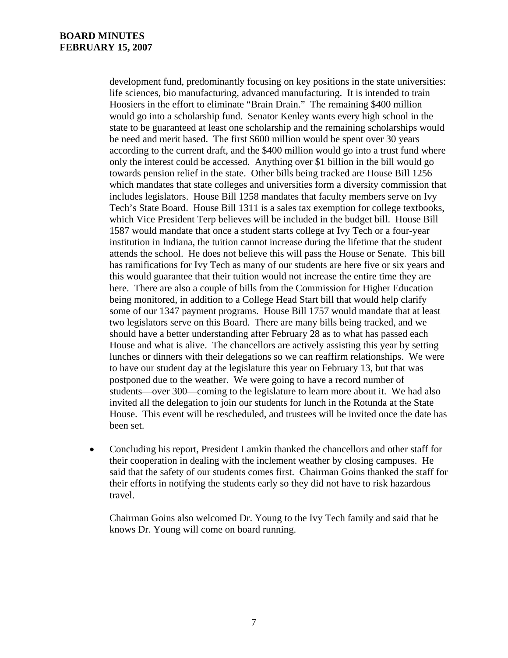development fund, predominantly focusing on key positions in the state universities: life sciences, bio manufacturing, advanced manufacturing. It is intended to train Hoosiers in the effort to eliminate "Brain Drain." The remaining \$400 million would go into a scholarship fund. Senator Kenley wants every high school in the state to be guaranteed at least one scholarship and the remaining scholarships would be need and merit based. The first \$600 million would be spent over 30 years according to the current draft, and the \$400 million would go into a trust fund where only the interest could be accessed. Anything over \$1 billion in the bill would go towards pension relief in the state. Other bills being tracked are House Bill 1256 which mandates that state colleges and universities form a diversity commission that includes legislators. House Bill 1258 mandates that faculty members serve on Ivy Tech's State Board. House Bill 1311 is a sales tax exemption for college textbooks, which Vice President Terp believes will be included in the budget bill. House Bill 1587 would mandate that once a student starts college at Ivy Tech or a four-year institution in Indiana, the tuition cannot increase during the lifetime that the student attends the school. He does not believe this will pass the House or Senate. This bill has ramifications for Ivy Tech as many of our students are here five or six years and this would guarantee that their tuition would not increase the entire time they are here. There are also a couple of bills from the Commission for Higher Education being monitored, in addition to a College Head Start bill that would help clarify some of our 1347 payment programs. House Bill 1757 would mandate that at least two legislators serve on this Board. There are many bills being tracked, and we should have a better understanding after February 28 as to what has passed each House and what is alive. The chancellors are actively assisting this year by setting lunches or dinners with their delegations so we can reaffirm relationships. We were to have our student day at the legislature this year on February 13, but that was postponed due to the weather. We were going to have a record number of students—over 300—coming to the legislature to learn more about it. We had also invited all the delegation to join our students for lunch in the Rotunda at the State House. This event will be rescheduled, and trustees will be invited once the date has been set.

• Concluding his report, President Lamkin thanked the chancellors and other staff for their cooperation in dealing with the inclement weather by closing campuses. He said that the safety of our students comes first. Chairman Goins thanked the staff for their efforts in notifying the students early so they did not have to risk hazardous travel.

Chairman Goins also welcomed Dr. Young to the Ivy Tech family and said that he knows Dr. Young will come on board running.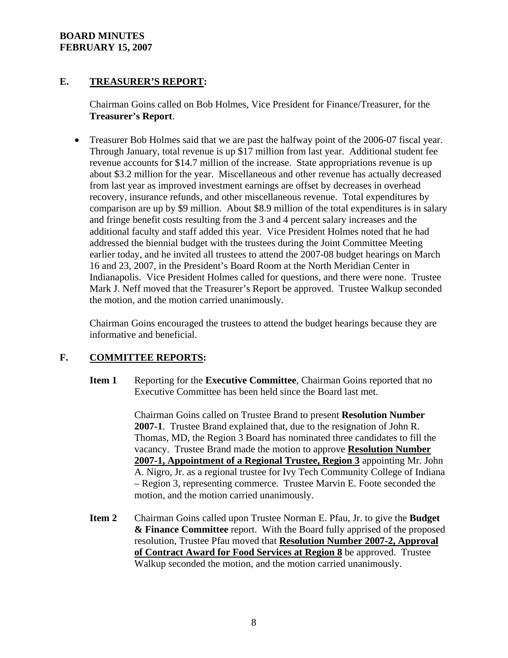# **E. TREASURER'S REPORT:**

Chairman Goins called on Bob Holmes, Vice President for Finance/Treasurer, for the **Treasurer's Report**.

• Treasurer Bob Holmes said that we are past the halfway point of the 2006-07 fiscal year. Through January, total revenue is up \$17 million from last year. Additional student fee revenue accounts for \$14.7 million of the increase. State appropriations revenue is up about \$3.2 million for the year. Miscellaneous and other revenue has actually decreased from last year as improved investment earnings are offset by decreases in overhead recovery, insurance refunds, and other miscellaneous revenue. Total expenditures by comparison are up by \$9 million. About \$8.9 million of the total expenditures is in salary and fringe benefit costs resulting from the 3 and 4 percent salary increases and the additional faculty and staff added this year. Vice President Holmes noted that he had addressed the biennial budget with the trustees during the Joint Committee Meeting earlier today, and he invited all trustees to attend the 2007-08 budget hearings on March 16 and 23, 2007, in the President's Board Room at the North Meridian Center in Indianapolis. Vice President Holmes called for questions, and there were none. Trustee Mark J. Neff moved that the Treasurer's Report be approved. Trustee Walkup seconded the motion, and the motion carried unanimously.

Chairman Goins encouraged the trustees to attend the budget hearings because they are informative and beneficial.

# **F. COMMITTEE REPORTS:**

**Item 1** Reporting for the **Executive Committee**, Chairman Goins reported that no Executive Committee has been held since the Board last met.

> Chairman Goins called on Trustee Brand to present **Resolution Number 2007-1**. Trustee Brand explained that, due to the resignation of John R. Thomas, MD, the Region 3 Board has nominated three candidates to fill the vacancy. Trustee Brand made the motion to approve **Resolution Number 2007-1, Appointment of a Regional Trustee, Region 3** appointing Mr. John A. Nigro, Jr. as a regional trustee for Ivy Tech Community College of Indiana – Region 3, representing commerce. Trustee Marvin E. Foote seconded the motion, and the motion carried unanimously.

**Item 2** Chairman Goins called upon Trustee Norman E. Pfau, Jr. to give the **Budget & Finance Committee** report. With the Board fully apprised of the proposed resolution, Trustee Pfau moved that **Resolution Number 2007-2, Approval of Contract Award for Food Services at Region 8** be approved. Trustee Walkup seconded the motion, and the motion carried unanimously.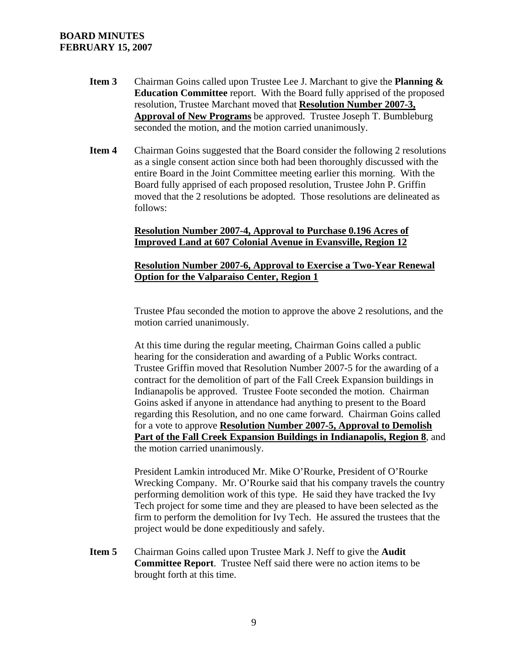- **Item 3** Chairman Goins called upon Trustee Lee J. Marchant to give the **Planning & Education Committee** report. With the Board fully apprised of the proposed resolution, Trustee Marchant moved that **Resolution Number 2007-3, Approval of New Programs** be approved. Trustee Joseph T. Bumbleburg seconded the motion, and the motion carried unanimously.
- **Item 4** Chairman Goins suggested that the Board consider the following 2 resolutions as a single consent action since both had been thoroughly discussed with the entire Board in the Joint Committee meeting earlier this morning. With the Board fully apprised of each proposed resolution, Trustee John P. Griffin moved that the 2 resolutions be adopted. Those resolutions are delineated as follows:

#### **Resolution Number 2007-4, Approval to Purchase 0.196 Acres of Improved Land at 607 Colonial Avenue in Evansville, Region 12**

#### **Resolution Number 2007-6, Approval to Exercise a Two-Year Renewal Option for the Valparaiso Center, Region 1**

Trustee Pfau seconded the motion to approve the above 2 resolutions, and the motion carried unanimously.

At this time during the regular meeting, Chairman Goins called a public hearing for the consideration and awarding of a Public Works contract. Trustee Griffin moved that Resolution Number 2007-5 for the awarding of a contract for the demolition of part of the Fall Creek Expansion buildings in Indianapolis be approved. Trustee Foote seconded the motion. Chairman Goins asked if anyone in attendance had anything to present to the Board regarding this Resolution, and no one came forward. Chairman Goins called for a vote to approve **Resolution Number 2007-5, Approval to Demolish Part of the Fall Creek Expansion Buildings in Indianapolis, Region 8**, and the motion carried unanimously.

President Lamkin introduced Mr. Mike O'Rourke, President of O'Rourke Wrecking Company. Mr. O'Rourke said that his company travels the country performing demolition work of this type. He said they have tracked the Ivy Tech project for some time and they are pleased to have been selected as the firm to perform the demolition for Ivy Tech. He assured the trustees that the project would be done expeditiously and safely.

**Item 5** Chairman Goins called upon Trustee Mark J. Neff to give the **Audit Committee Report**. Trustee Neff said there were no action items to be brought forth at this time.